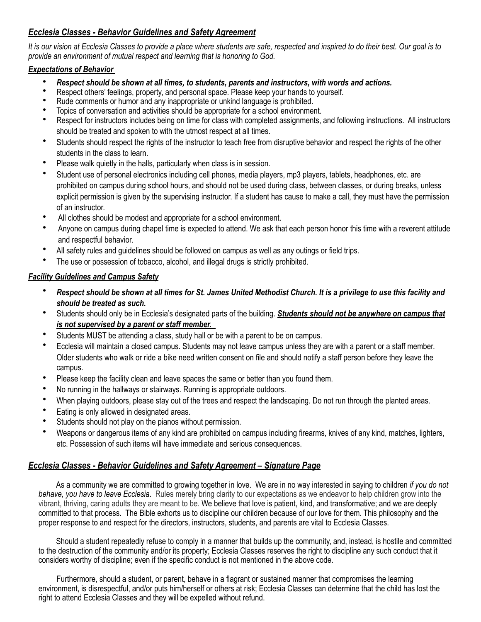## *Ecclesia Classes - Behavior Guidelines and Safety Agreement*

*It is our vision at Ecclesia Classes to provide a place where students are safe, respected and inspired to do their best. Our goal is to provide an environment of mutual respect and learning that is honoring to God.* 

## *Expectations of Behavior*

- *Respect should be shown at all times, to students, parents and instructors, with words and actions.*
- Respect others' feelings, property, and personal space. Please keep your hands to yourself.
- Rude comments or humor and any inappropriate or unkind language is prohibited.
- Topics of conversation and activities should be appropriate for a school environment.
- Respect for instructors includes being on time for class with completed assignments, and following instructions. All instructors should be treated and spoken to with the utmost respect at all times.
- Students should respect the rights of the instructor to teach free from disruptive behavior and respect the rights of the other students in the class to learn.
- Please walk quietly in the halls, particularly when class is in session.
- Student use of personal electronics including cell phones, media players, mp3 players, tablets, headphones, etc. are prohibited on campus during school hours, and should not be used during class, between classes, or during breaks, unless explicit permission is given by the supervising instructor. If a student has cause to make a call, they must have the permission of an instructor.
- All clothes should be modest and appropriate for a school environment.
- Anyone on campus during chapel time is expected to attend. We ask that each person honor this time with a reverent attitude and respectful behavior.
- All safety rules and guidelines should be followed on campus as well as any outings or field trips.
- The use or possession of tobacco, alcohol, and illegal drugs is strictly prohibited.

## *Facility Guidelines and Campus Safety*

- *Respect should be shown at all times for St. James United Methodist Church. It is a privilege to use this facility and should be treated as such.*
- Students should only be in Ecclesia's designated parts of the building. *Students should not be anywhere on campus that is not supervised by a parent or staff member.*
- Students MUST be attending a class, study hall or be with a parent to be on campus.
- Ecclesia will maintain a closed campus. Students may not leave campus unless they are with a parent or a staff member. Older students who walk or ride a bike need written consent on file and should notify a staff person before they leave the campus.
- Please keep the facility clean and leave spaces the same or better than you found them.
- No running in the hallways or stairways. Running is appropriate outdoors.
- When playing outdoors, please stay out of the trees and respect the landscaping. Do not run through the planted areas.
- Eating is only allowed in designated areas.
- Students should not play on the pianos without permission.
- Weapons or dangerous items of any kind are prohibited on campus including firearms, knives of any kind, matches, lighters, etc. Possession of such items will have immediate and serious consequences.

## *Ecclesia Classes - Behavior Guidelines and Safety Agreement – Signature Page*

 As a community we are committed to growing together in love. We are in no way interested in saying to children *if you do not behave, you have to leave Ecclesia*. Rules merely bring clarity to our expectations as we endeavor to help children grow into the vibrant, thriving, caring adults they are meant to be. We believe that love is patient, kind, and transformative; and we are deeply committed to that process. The Bible exhorts us to discipline our children because of our love for them. This philosophy and the proper response to and respect for the directors, instructors, students, and parents are vital to Ecclesia Classes.

 Should a student repeatedly refuse to comply in a manner that builds up the community, and, instead, is hostile and committed to the destruction of the community and/or its property; Ecclesia Classes reserves the right to discipline any such conduct that it considers worthy of discipline; even if the specific conduct is not mentioned in the above code.

 Furthermore, should a student, or parent, behave in a flagrant or sustained manner that compromises the learning environment, is disrespectful, and/or puts him/herself or others at risk; Ecclesia Classes can determine that the child has lost the right to attend Ecclesia Classes and they will be expelled without refund.